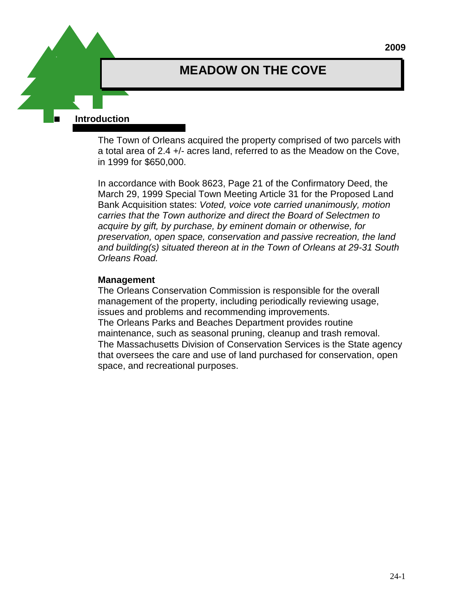# **MEADOW ON THE COVE**

 **Introduction** 

The Town of Orleans acquired the property comprised of two parcels with a total area of 2.4 +/- acres land, referred to as the Meadow on the Cove, in 1999 for \$650,000.

In accordance with Book 8623, Page 21 of the Confirmatory Deed, the March 29, 1999 Special Town Meeting Article 31 for the Proposed Land Bank Acquisition states: *Voted, voice vote carried unanimously, motion carries that the Town authorize and direct the Board of Selectmen to acquire by gift, by purchase, by eminent domain or otherwise, for preservation, open space, conservation and passive recreation, the land and building(s) situated thereon at in the Town of Orleans at 29-31 South Orleans Road.*

#### **Management**

The Orleans Conservation Commission is responsible for the overall management of the property, including periodically reviewing usage, issues and problems and recommending improvements. The Orleans Parks and Beaches Department provides routine maintenance, such as seasonal pruning, cleanup and trash removal. The Massachusetts Division of Conservation Services is the State agency that oversees the care and use of land purchased for conservation, open space, and recreational purposes.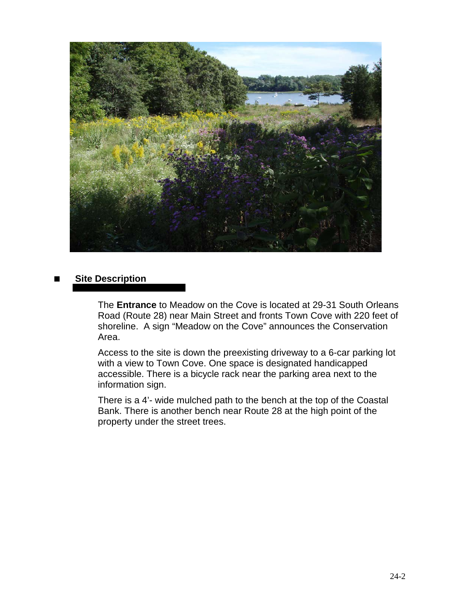

### **Site Description**

The **Entrance** to Meadow on the Cove is located at 29-31 South Orleans Road (Route 28) near Main Street and fronts Town Cove with 220 feet of shoreline. A sign "Meadow on the Cove" announces the Conservation Area.

Access to the site is down the preexisting driveway to a 6-car parking lot with a view to Town Cove. One space is designated handicapped accessible. There is a bicycle rack near the parking area next to the information sign.

There is a 4'- wide mulched path to the bench at the top of the Coastal Bank. There is another bench near Route 28 at the high point of the property under the street trees.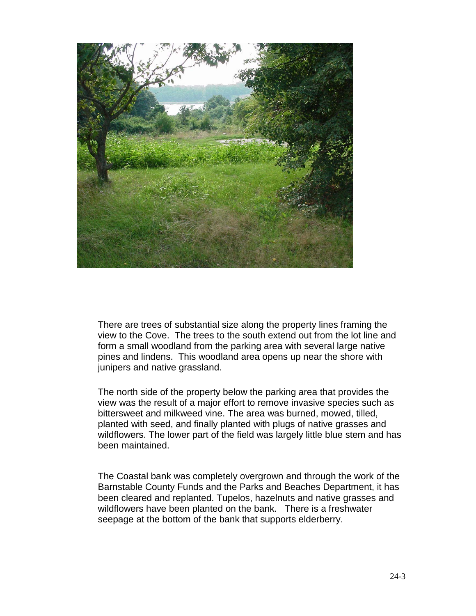

There are trees of substantial size along the property lines framing the view to the Cove. The trees to the south extend out from the lot line and form a small woodland from the parking area with several large native pines and lindens. This woodland area opens up near the shore with junipers and native grassland.

The north side of the property below the parking area that provides the view was the result of a major effort to remove invasive species such as bittersweet and milkweed vine. The area was burned, mowed, tilled, planted with seed, and finally planted with plugs of native grasses and wildflowers. The lower part of the field was largely little blue stem and has been maintained.

The Coastal bank was completely overgrown and through the work of the Barnstable County Funds and the Parks and Beaches Department, it has been cleared and replanted. Tupelos, hazelnuts and native grasses and wildflowers have been planted on the bank. There is a freshwater seepage at the bottom of the bank that supports elderberry.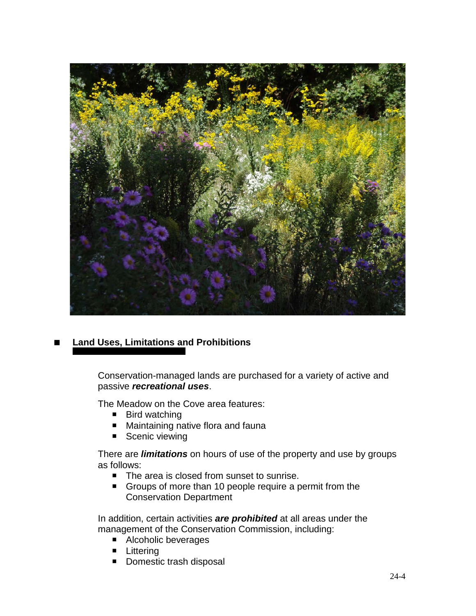

## **Land Uses, Limitations and Prohibitions**

Conservation-managed lands are purchased for a variety of active and passive *recreational uses*.

The Meadow on the Cove area features:

- Bird watching
- Maintaining native flora and fauna
- Scenic viewing

There are *limitations* on hours of use of the property and use by groups as follows:

- The area is closed from sunset to sunrise.
- Groups of more than 10 people require a permit from the Conservation Department

In addition, certain activities *are prohibited* at all areas under the management of the Conservation Commission, including:

- Alcoholic beverages
- **E** Littering
- Domestic trash disposal